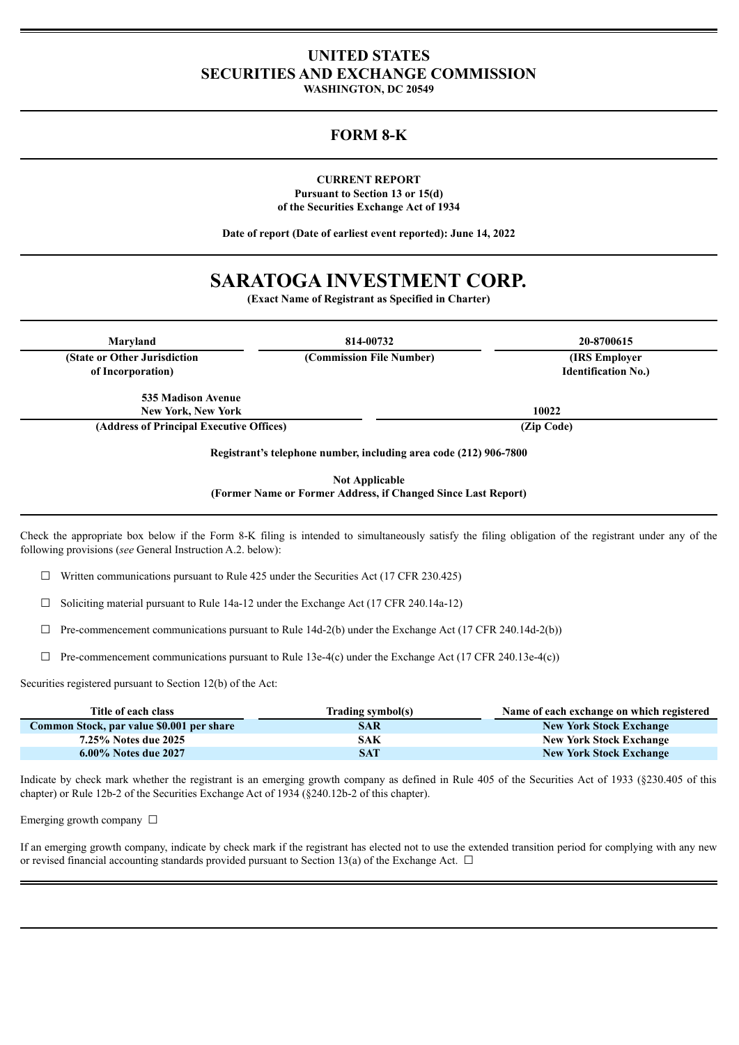## **UNITED STATES SECURITIES AND EXCHANGE COMMISSION**

**WASHINGTON, DC 20549**

## **FORM 8-K**

**CURRENT REPORT Pursuant to Section 13 or 15(d) of the Securities Exchange Act of 1934**

**Date of report (Date of earliest event reported): June 14, 2022**

# **SARATOGA INVESTMENT CORP.**

**(Exact Name of Registrant as Specified in Charter)**

| Maryland                                           | 814-00732                | 20-8700615                                   |  |
|----------------------------------------------------|--------------------------|----------------------------------------------|--|
| (State or Other Jurisdiction)<br>of Incorporation) | (Commission File Number) | (IRS Employer)<br><b>Identification No.)</b> |  |
| 535 Madison Avenue                                 |                          |                                              |  |
| <b>New York, New York</b>                          |                          | 10022                                        |  |
| (Address of Principal Executive Offices)           |                          | (Zip Code)                                   |  |

**Not Applicable (Former Name or Former Address, if Changed Since Last Report)**

Check the appropriate box below if the Form 8-K filing is intended to simultaneously satisfy the filing obligation of the registrant under any of the following provisions (*see* General Instruction A.2. below):

 $\Box$  Written communications pursuant to Rule 425 under the Securities Act (17 CFR 230.425)

 $\Box$  Soliciting material pursuant to Rule 14a-12 under the Exchange Act (17 CFR 240.14a-12)

 $\Box$  Pre-commencement communications pursuant to Rule 14d-2(b) under the Exchange Act (17 CFR 240.14d-2(b))

☐ Pre-commencement communications pursuant to Rule 13e-4(c) under the Exchange Act (17 CFR 240.13e-4(c))

Securities registered pursuant to Section 12(b) of the Act:

| Title of each class                       | Trading symbol(s) | Name of each exchange on which registered |
|-------------------------------------------|-------------------|-------------------------------------------|
| Common Stock, par value \$0.001 per share | SAR               | <b>New York Stock Exchange</b>            |
| 7.25% Notes due 2025                      | SAK               | <b>New York Stock Exchange</b>            |
| 6.00% Notes due 2027                      | SAT               | <b>New York Stock Exchange</b>            |

Indicate by check mark whether the registrant is an emerging growth company as defined in Rule 405 of the Securities Act of 1933 (§230.405 of this chapter) or Rule 12b-2 of the Securities Exchange Act of 1934 (§240.12b-2 of this chapter).

Emerging growth company  $\Box$ 

If an emerging growth company, indicate by check mark if the registrant has elected not to use the extended transition period for complying with any new or revised financial accounting standards provided pursuant to Section 13(a) of the Exchange Act.  $\Box$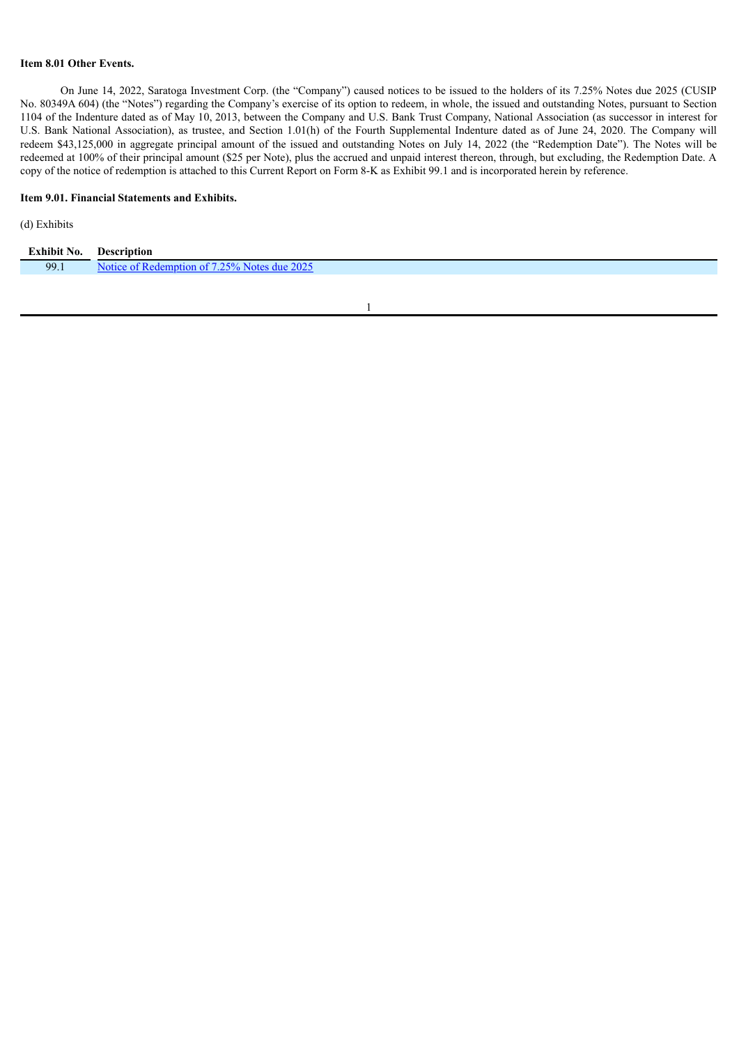## **Item 8.01 Other Events.**

On June 14, 2022, Saratoga Investment Corp. (the "Company") caused notices to be issued to the holders of its 7.25% Notes due 2025 (CUSIP No. 80349A 604) (the "Notes") regarding the Company's exercise of its option to redeem, in whole, the issued and outstanding Notes, pursuant to Section 1104 of the Indenture dated as of May 10, 2013, between the Company and U.S. Bank Trust Company, National Association (as successor in interest for U.S. Bank National Association), as trustee, and Section 1.01(h) of the Fourth Supplemental Indenture dated as of June 24, 2020. The Company will redeem \$43,125,000 in aggregate principal amount of the issued and outstanding Notes on July 14, 2022 (the "Redemption Date"). The Notes will be redeemed at 100% of their principal amount (\$25 per Note), plus the accrued and unpaid interest thereon, through, but excluding, the Redemption Date. A copy of the notice of redemption is attached to this Current Report on Form 8-K as Exhibit 99.1 and is incorporated herein by reference.

#### **Item 9.01. Financial Statements and Exhibits.**

## (d) Exhibits

| <b>Exhibit No.</b> | Description                                      |
|--------------------|--------------------------------------------------|
| 99.1               | 25% Notes due 2025<br>emntion of<br>$\mathbf{A}$ |
|                    |                                                  |

1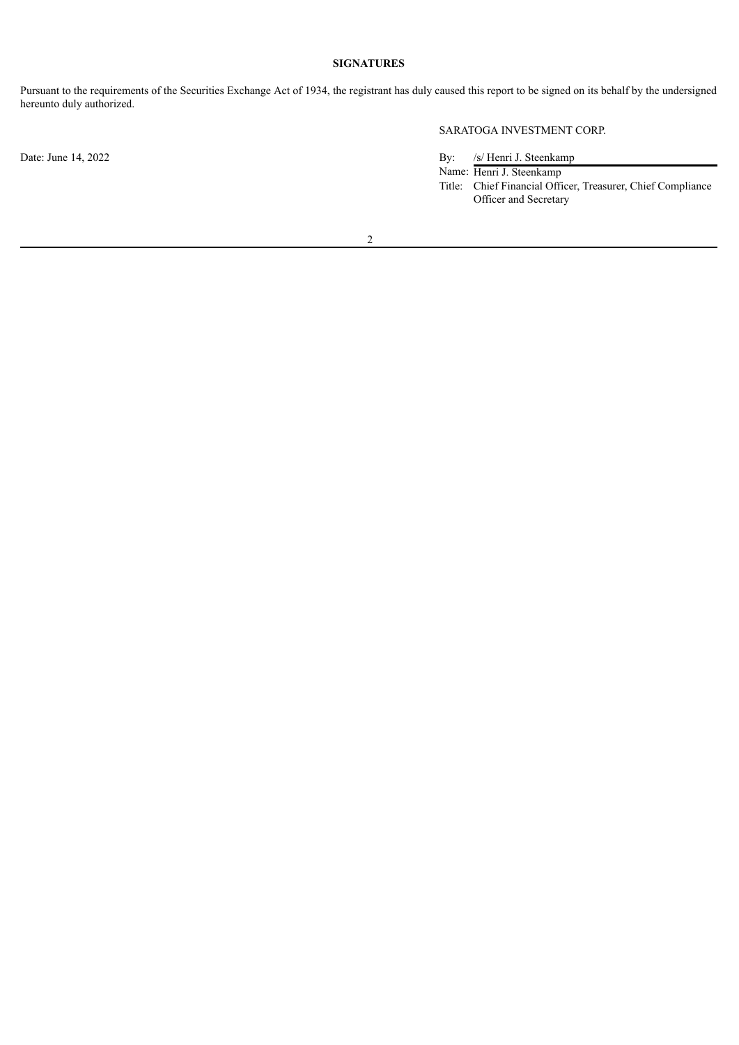## **SIGNATURES**

Pursuant to the requirements of the Securities Exchange Act of 1934, the registrant has duly caused this report to be signed on its behalf by the undersigned hereunto duly authorized.

SARATOGA INVESTMENT CORP.

Date: June 14, 2022 By: /s/ Henri J. Steenkamp Name: Henri J. Steenkamp

Title: Chief Financial Officer, Treasurer, Chief Compliance Officer and Secretary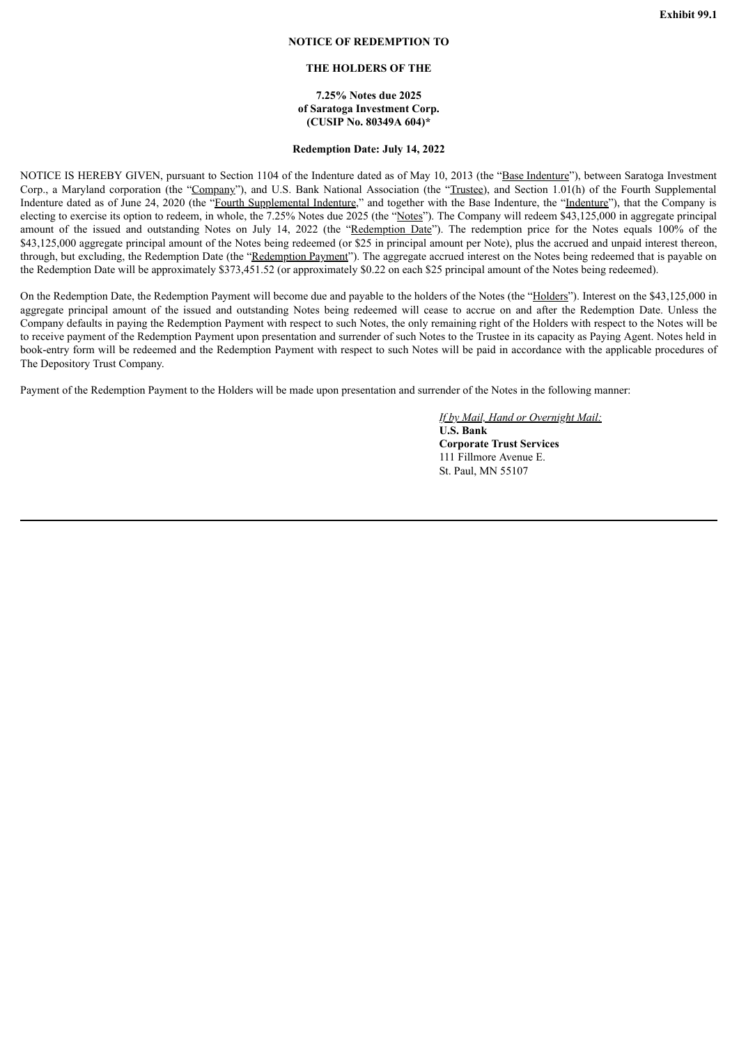#### **NOTICE OF REDEMPTION TO**

#### **THE HOLDERS OF THE**

#### **7.25% Notes due 2025 of Saratoga Investment Corp. (CUSIP No. 80349A 604)\***

## **Redemption Date: July 14, 2022**

<span id="page-3-0"></span>NOTICE IS HEREBY GIVEN, pursuant to Section 1104 of the Indenture dated as of May 10, 2013 (the "Base Indenture"), between Saratoga Investment Corp., a Maryland corporation (the "Company"), and U.S. Bank National Association (the "Trustee), and Section 1.01(h) of the Fourth Supplemental Indenture dated as of June 24, 2020 (the "Fourth Supplemental Indenture," and together with the Base Indenture, the "Indenture"), that the Company is electing to exercise its option to redeem, in whole, the 7.25% Notes due 2025 (the "Notes"). The Company will redeem \$43,125,000 in aggregate principal amount of the issued and outstanding Notes on July 14, 2022 (the "Redemption Date"). The redemption price for the Notes equals 100% of the \$43,125,000 aggregate principal amount of the Notes being redeemed (or \$25 in principal amount per Note), plus the accrued and unpaid interest thereon, through, but excluding, the Redemption Date (the "Redemption Payment"). The aggregate accrued interest on the Notes being redeemed that is payable on the Redemption Date will be approximately \$373,451.52 (or approximately \$0.22 on each \$25 principal amount of the Notes being redeemed).

On the Redemption Date, the Redemption Payment will become due and payable to the holders of the Notes (the "Holders"). Interest on the \$43,125,000 in aggregate principal amount of the issued and outstanding Notes being redeemed will cease to accrue on and after the Redemption Date. Unless the Company defaults in paying the Redemption Payment with respect to such Notes, the only remaining right of the Holders with respect to the Notes will be to receive payment of the Redemption Payment upon presentation and surrender of such Notes to the Trustee in its capacity as Paying Agent. Notes held in book-entry form will be redeemed and the Redemption Payment with respect to such Notes will be paid in accordance with the applicable procedures of The Depository Trust Company.

Payment of the Redemption Payment to the Holders will be made upon presentation and surrender of the Notes in the following manner:

*If by Mail, Hand or Overnight Mail:* **U.S. Bank Corporate Trust Services** 111 Fillmore Avenue E. St. Paul, MN 55107